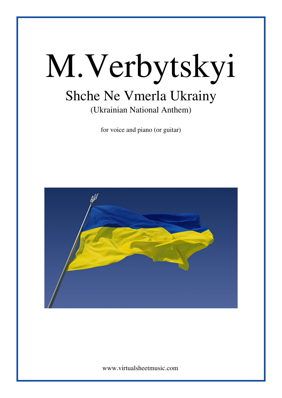# M.Verbytskyi Shche Ne Vmerla Ukrainy (Ukrainian National Anthem)

for voice and piano (or guitar)

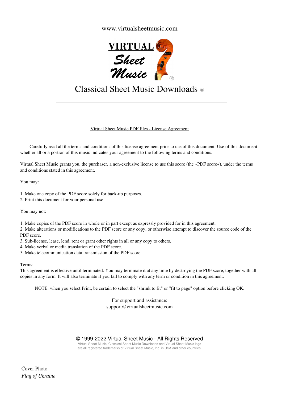### www.virtualsheetmusic.com



## Classical Sheet Music Downloads ®

#### Virtual Sheet Music PDF files - License Agreement

 Carefully read all the terms and conditions of this license agreement prior to use of this document. Use of this document whether all or a portion of this music indicates your agreement to the following terms and conditions.

Virtual Sheet Music grants you, the purchaser, a non-exclusive license to use this score (the »PDF score«), under the terms and conditions stated in this agreement.

You may:

1. Make one copy of the PDF score solely for back-up purposes.

2. Print this document for your personal use.

You may not:

1. Make copies of the PDF score in whole or in part except as expressly provided for in this agreement.

2. Make alterations or modifications to the PDF score or any copy, or otherwise attempt to discover the source code of the PDF score.

3. Sub-license, lease, lend, rent or grant other rights in all or any copy to others.

4. Make verbal or media translation of the PDF score.

5. Make telecommunication data transmission of the PDF score.

Terms:

This agreement is effective until terminated. You may terminate it at any time by destroying the PDF score, together with all copies in any form. It will also terminate if you fail to comply with any term or condition in this agreement.

NOTE: when you select Print, be certain to select the "shrink to fit" or "fit to page" option before clicking OK.

For support and assistance: support@virtualsheetmusic.com

© 1999-2022 Virtual Sheet Music - All Rights Reserved

Virtual Sheet Music, Classical Sheet Music Downloads and Virtual Sheet Music logo are all registered trademarks of Virtual Sheet Music, Inc. in USA and other countries.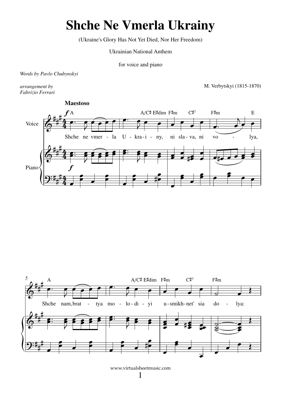## **Shche Ne Vmerla Ukrainy**

(Ukraine's Glory Has Not Yet Died, Nor Her Freedom)

**Ukrainian National Anthem** 

for voice and piano

Words by Pavlo Chubynskyi

arrangement by Fabrizio Ferrari M. Verbytskyi (1815-1870)



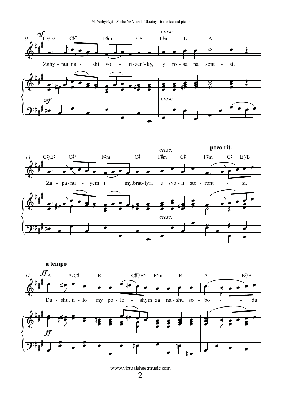M. Verbytskyi - Shche Ne Vmerla Ukrainy - for voice and piano